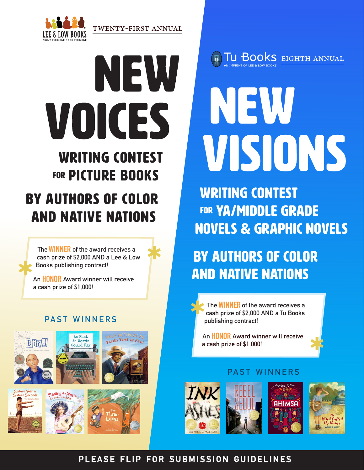

twenty-first annual

# NEW VOICES

# WRITING CONTEsT FOR **PICTURE BOOKS**

# by authors of color and native nations

**TheWINNER of the award receives a cash prize of \$2,000 AND a Lee & Low Books publishing contract!** 



**An HONOR Award winner will receive a cash prize of \$1,000!**

### **PAST WINNERS**







TU BOOKS EIGHTH ANNUAL

# NEW VISIONS

WRITING CONTEST FOR **YA/MIDDLE GRADE** NOVELS & GRAPHIC NOVELS

# by authors of color and native nations

**The WINNER of the award receives a cash prize of \$2,000 AND a Tu Books publishing contract!** 

**An HONOR Award winner will receive a cash prize of \$1,000!**



### **PAST WINNERS**









## **PLEASE FLIP FOR SUBMISSION GUIDELINES**